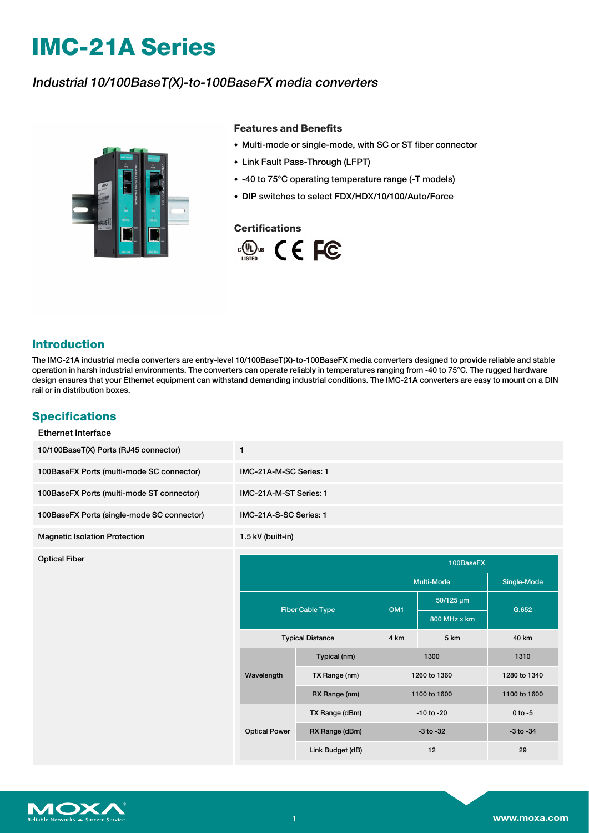# **IMC-21A Series**

## Industrial 10/100BaseT(X)-to-100BaseFX media converters



#### **Features and Benefits**

- Multi-mode or single-mode, with SC or ST fiber connector
- Link Fault Pass-Through (LFPT)
- -40 to 75°C operating temperature range (-T models)
- DIP switches to select FDX/HDX/10/100/Auto/Force

#### **Certifications**



## **Introduction**

The IMC-21A industrial media converters are entry-level 10/100BaseT(X)-to-100BaseFX media converters designed to provide reliable and stable operation in harsh industrial environments. The converters can operate reliably in temperatures ranging from -40 to 75°C. The rugged hardware design ensures that your Ethernet equipment can withstand demanding industrial conditions. The IMC-21A converters are easy to mount on a DIN rail or in distribution boxes.

## **Specifications**

| IMC-21A-M-SC Series: 1 |  |  |  |
|------------------------|--|--|--|
| IMC-21A-M-ST Series: 1 |  |  |  |
|                        |  |  |  |
|                        |  |  |  |
|                        |  |  |  |
| Single-Mode            |  |  |  |
|                        |  |  |  |
|                        |  |  |  |
| G.652                  |  |  |  |
| 40 km                  |  |  |  |
| 1310                   |  |  |  |
| 1280 to 1340           |  |  |  |
| 1100 to 1600           |  |  |  |
| $0$ to $-5$            |  |  |  |
| $-3$ to $-34$          |  |  |  |
|                        |  |  |  |

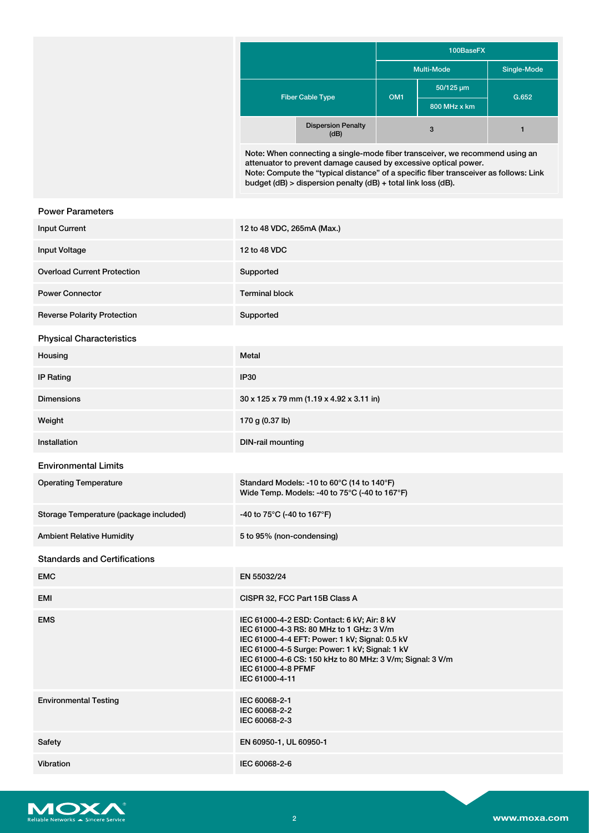|                         |                                                                                                                                                 | 100BaseFX       |                   |             |
|-------------------------|-------------------------------------------------------------------------------------------------------------------------------------------------|-----------------|-------------------|-------------|
|                         |                                                                                                                                                 |                 | <b>Multi-Mode</b> | Single-Mode |
| <b>Fiber Cable Type</b> |                                                                                                                                                 |                 | 50/125 um         |             |
|                         |                                                                                                                                                 | OM <sub>1</sub> | 800 MHz x km      | G.652       |
|                         | <b>Dispersion Penalty</b><br>(dB)                                                                                                               |                 | 3                 |             |
|                         | Note: When connecting a single-mode fiber transceiver, we recommend using an<br>attenuator to prevent damage caused by excessive optical power. |                 |                   |             |

Note: Compute the "typical distance" of a specific fiber transceiver as follows: Link budget (dB) > dispersion penalty (dB) + total link loss (dB).

| <b>Power Parameters</b>                |                                                                                                                                                                                                                                                                                                  |
|----------------------------------------|--------------------------------------------------------------------------------------------------------------------------------------------------------------------------------------------------------------------------------------------------------------------------------------------------|
| <b>Input Current</b>                   | 12 to 48 VDC, 265mA (Max.)                                                                                                                                                                                                                                                                       |
| <b>Input Voltage</b>                   | 12 to 48 VDC                                                                                                                                                                                                                                                                                     |
| <b>Overload Current Protection</b>     | Supported                                                                                                                                                                                                                                                                                        |
| <b>Power Connector</b>                 | <b>Terminal block</b>                                                                                                                                                                                                                                                                            |
| <b>Reverse Polarity Protection</b>     | Supported                                                                                                                                                                                                                                                                                        |
| <b>Physical Characteristics</b>        |                                                                                                                                                                                                                                                                                                  |
| Housing                                | Metal                                                                                                                                                                                                                                                                                            |
| <b>IP Rating</b>                       | IP30                                                                                                                                                                                                                                                                                             |
| <b>Dimensions</b>                      | 30 x 125 x 79 mm (1.19 x 4.92 x 3.11 in)                                                                                                                                                                                                                                                         |
| Weight                                 | 170 g (0.37 lb)                                                                                                                                                                                                                                                                                  |
| Installation                           | <b>DIN-rail mounting</b>                                                                                                                                                                                                                                                                         |
| <b>Environmental Limits</b>            |                                                                                                                                                                                                                                                                                                  |
| <b>Operating Temperature</b>           | Standard Models: -10 to 60°C (14 to 140°F)<br>Wide Temp. Models: -40 to 75°C (-40 to 167°F)                                                                                                                                                                                                      |
| Storage Temperature (package included) | -40 to 75°C (-40 to 167°F)                                                                                                                                                                                                                                                                       |
| <b>Ambient Relative Humidity</b>       | 5 to 95% (non-condensing)                                                                                                                                                                                                                                                                        |
| <b>Standards and Certifications</b>    |                                                                                                                                                                                                                                                                                                  |
| <b>EMC</b>                             | EN 55032/24                                                                                                                                                                                                                                                                                      |
| EMI                                    | CISPR 32, FCC Part 15B Class A                                                                                                                                                                                                                                                                   |
| <b>EMS</b>                             | IEC 61000-4-2 ESD: Contact: 6 kV; Air: 8 kV<br>IEC 61000-4-3 RS: 80 MHz to 1 GHz: 3 V/m<br>IEC 61000-4-4 EFT: Power: 1 kV; Signal: 0.5 kV<br>IEC 61000-4-5 Surge: Power: 1 kV; Signal: 1 kV<br>IEC 61000-4-6 CS: 150 kHz to 80 MHz: 3 V/m; Signal: 3 V/m<br>IEC 61000-4-8 PFMF<br>IEC 61000-4-11 |
| <b>Environmental Testing</b>           | IEC 60068-2-1<br>IEC 60068-2-2<br>IEC 60068-2-3                                                                                                                                                                                                                                                  |
| Safety                                 | EN 60950-1, UL 60950-1                                                                                                                                                                                                                                                                           |
| Vibration                              | IEC 60068-2-6                                                                                                                                                                                                                                                                                    |
|                                        |                                                                                                                                                                                                                                                                                                  |

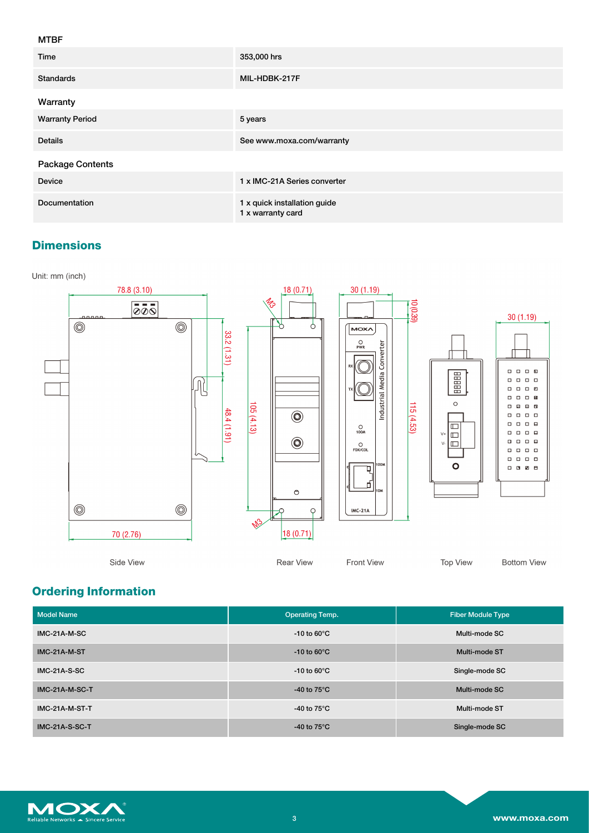#### MTBF

| Time                   | 353,000 hrs                                       |
|------------------------|---------------------------------------------------|
| Standards              | MIL-HDBK-217F                                     |
| Warranty               |                                                   |
| <b>Warranty Period</b> | 5 years                                           |
| <b>Details</b>         | See www.moxa.com/warranty                         |
| Package Contents       |                                                   |
| <b>Device</b>          | 1 x IMC-21A Series converter                      |
| Documentation          | 1 x quick installation guide<br>1 x warranty card |

# **Dimensions**



# **Ordering Information**

| <b>Model Name</b>     | <b>Operating Temp.</b>  | <b>Fiber Module Type</b> |
|-----------------------|-------------------------|--------------------------|
| IMC-21A-M-SC          | -10 to 60 $\degree$ C   | Multi-mode SC            |
| IMC-21A-M-ST          | $-10$ to 60 $\degree$ C | Multi-mode ST            |
| $IMC-21A-S-SC$        | -10 to 60 $\degree$ C   | Single-mode SC           |
| IMC-21A-M-SC-T        | -40 to $75^{\circ}$ C   | Multi-mode SC            |
| IMC-21A-M-ST-T        | -40 to 75 $^{\circ}$ C  | Multi-mode ST            |
| <b>IMC-21A-S-SC-T</b> | -40 to $75^{\circ}$ C   | Single-mode SC           |